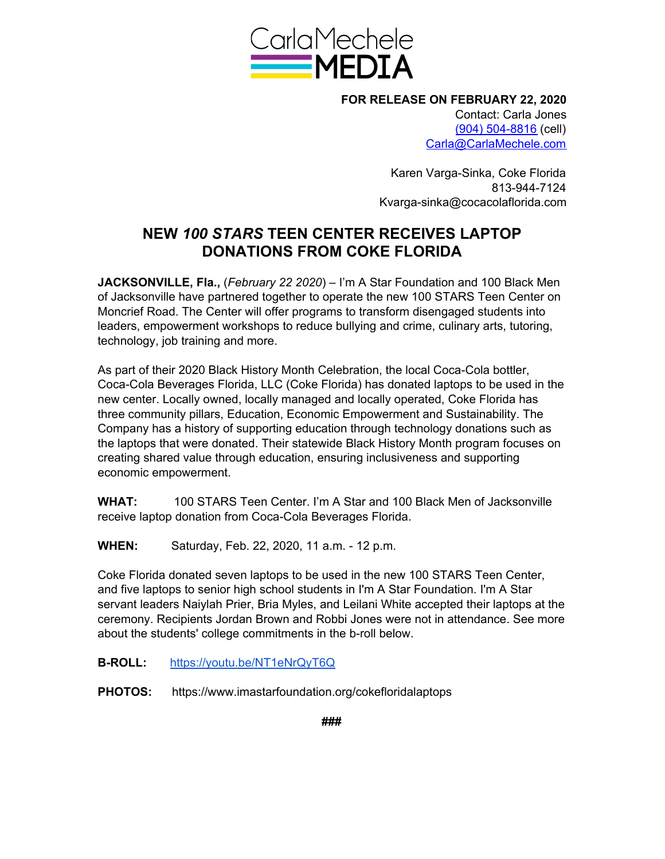

**FOR RELEASE ON FEBRUARY 22, 2020** Contact: Carla Jones (904) 504-8816 (cell) Carla@CarlaMechele.com

> Karen Varga-Sinka, Coke Florida 813-944-7124 Kvarga-sinka@cocacolaflorida.com

## **NEW** *100 STARS* **TEEN CENTER RECEIVES LAPTOP DONATIONS FROM COKE FLORIDA**

**JACKSONVILLE, Fla.,** (*February 22 2020*) – I'm A Star Foundation and 100 Black Men of Jacksonville have partnered together to operate the new 100 STARS Teen Center on Moncrief Road. The Center will offer programs to transform disengaged students into leaders, empowerment workshops to reduce bullying and crime, culinary arts, tutoring, technology, job training and more.

As part of their 2020 Black History Month Celebration, the local Coca-Cola bottler, Coca-Cola Beverages Florida, LLC (Coke Florida) has donated laptops to be used in the new center. Locally owned, locally managed and locally operated, Coke Florida has three community pillars, Education, Economic Empowerment and Sustainability. The Company has a history of supporting education through technology donations such as the laptops that were donated. Their statewide Black History Month program focuses on creating shared value through education, ensuring inclusiveness and supporting economic empowerment.

**WHAT:** 100 STARS Teen Center. I'm A Star and 100 Black Men of Jacksonville receive laptop donation from Coca-Cola Beverages Florida.

**WHEN:** Saturday, Feb. 22, 2020, 11 a.m. - 12 p.m.

Coke Florida donated seven laptops to be used in the new 100 STARS Teen Center, and five laptops to senior high school students in I'm A Star Foundation. I'm A Star servant leaders Naiylah Prier, Bria Myles, and Leilani White accepted their laptops at the ceremony. Recipients Jordan Brown and Robbi Jones were not in attendance. See more about the students' college commitments in the b-roll below.

- **B-ROLL:** <https://youtu.be/NT1eNrQyT6Q>
- **PHOTOS:** https://www.imastarfoundation.org/cokefloridalaptops